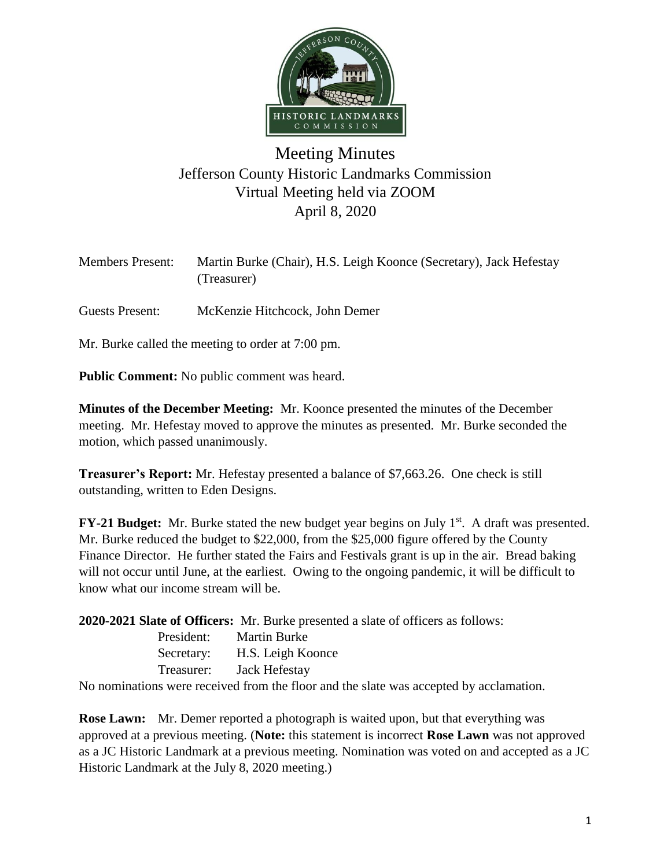

## Meeting Minutes Jefferson County Historic Landmarks Commission Virtual Meeting held via ZOOM April 8, 2020

| <b>Members Present:</b> | Martin Burke (Chair), H.S. Leigh Koonce (Secretary), Jack Hefestay<br>(Treasurer) |
|-------------------------|-----------------------------------------------------------------------------------|
| Guests Present:         | McKenzie Hitchcock, John Demer                                                    |
|                         | Mr. Burke called the meeting to order at 7:00 pm.                                 |

**Public Comment:** No public comment was heard.

**Minutes of the December Meeting:** Mr. Koonce presented the minutes of the December meeting. Mr. Hefestay moved to approve the minutes as presented. Mr. Burke seconded the motion, which passed unanimously.

**Treasurer's Report:** Mr. Hefestay presented a balance of \$7,663.26. One check is still outstanding, written to Eden Designs.

**FY-21 Budget:** Mr. Burke stated the new budget year begins on July 1<sup>st</sup>. A draft was presented. Mr. Burke reduced the budget to \$22,000, from the \$25,000 figure offered by the County Finance Director. He further stated the Fairs and Festivals grant is up in the air. Bread baking will not occur until June, at the earliest. Owing to the ongoing pandemic, it will be difficult to know what our income stream will be.

**2020-2021 Slate of Officers:** Mr. Burke presented a slate of officers as follows:

| President: | <b>Martin Burke</b> |
|------------|---------------------|
| Secretary: | H.S. Leigh Koonce   |
| Treasurer: | Jack Hefestay       |

No nominations were received from the floor and the slate was accepted by acclamation.

**Rose Lawn:** Mr. Demer reported a photograph is waited upon, but that everything was approved at a previous meeting. (**Note:** this statement is incorrect **Rose Lawn** was not approved as a JC Historic Landmark at a previous meeting. Nomination was voted on and accepted as a JC Historic Landmark at the July 8, 2020 meeting.)